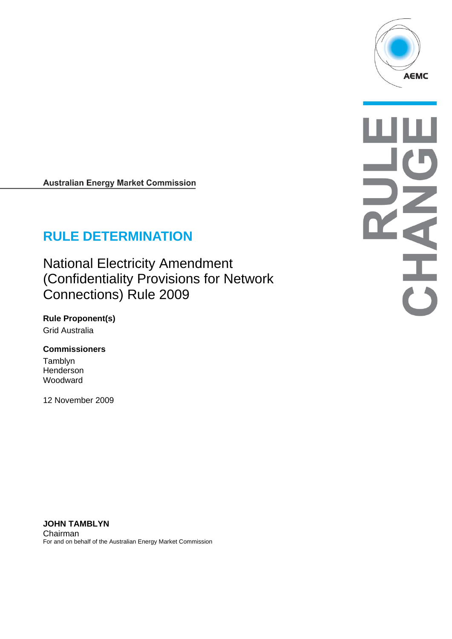

**Australian Energy Market Commission** 

# **RULE DETERMINATION**

National Electricity Amendment (Confidentiality Provisions for Network Connections) Rule 2009

**Rule Proponent(s)**  Grid Australia

#### **Commissioners**

Tamblyn Henderson Woodward

12 November 2009

**JOHN TAMBLYN**  Chairman For and on behalf of the Australian Energy Market Commission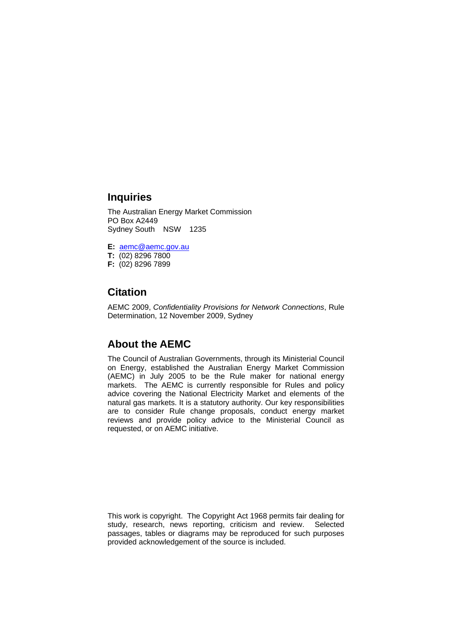### **Inquiries**

The Australian Energy Market Commission PO Box A2449 Sydney South NSW 1235

**E:** aemc@aemc.gov.au **T:** (02) 8296 7800

**F:** (02) 8296 7899

## **Citation**

AEMC 2009, *Confidentiality Provisions for Network Connections*, Rule Determination, 12 November 2009, Sydney

## **About the AEMC**

The Council of Australian Governments, through its Ministerial Council on Energy, established the Australian Energy Market Commission (AEMC) in July 2005 to be the Rule maker for national energy markets. The AEMC is currently responsible for Rules and policy advice covering the National Electricity Market and elements of the natural gas markets. It is a statutory authority. Our key responsibilities are to consider Rule change proposals, conduct energy market reviews and provide policy advice to the Ministerial Council as requested, or on AEMC initiative.

This work is copyright. The Copyright Act 1968 permits fair dealing for study, research, news reporting, criticism and review. Selected passages, tables or diagrams may be reproduced for such purposes provided acknowledgement of the source is included.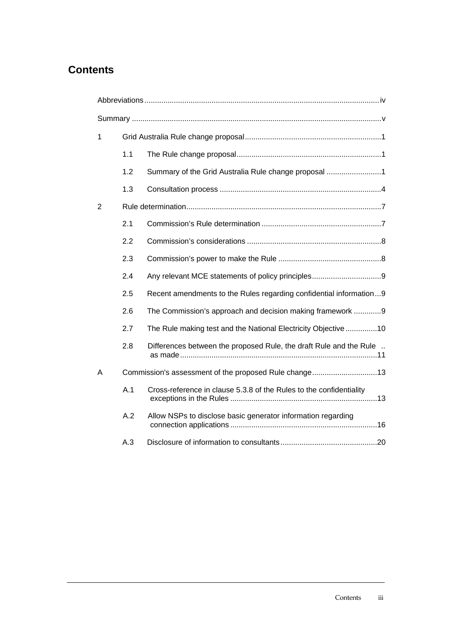# **Contents**

| $\overline{1}$ |                                                       |                                                                     |  |
|----------------|-------------------------------------------------------|---------------------------------------------------------------------|--|
|                | 1.1                                                   |                                                                     |  |
|                | 1.2                                                   | Summary of the Grid Australia Rule change proposal 1                |  |
|                | 1.3                                                   |                                                                     |  |
| $\overline{2}$ |                                                       |                                                                     |  |
|                | 2.1                                                   |                                                                     |  |
|                | 2.2                                                   |                                                                     |  |
|                | 2.3                                                   |                                                                     |  |
|                | 2.4                                                   |                                                                     |  |
|                | 2.5                                                   | Recent amendments to the Rules regarding confidential information9  |  |
|                | 2.6                                                   | The Commission's approach and decision making framework 9           |  |
|                | 2.7                                                   | The Rule making test and the National Electricity Objective10       |  |
|                | 2.8                                                   | Differences between the proposed Rule, the draft Rule and the Rule  |  |
| A              | Commission's assessment of the proposed Rule change13 |                                                                     |  |
|                | A.1                                                   | Cross-reference in clause 5.3.8 of the Rules to the confidentiality |  |
|                | A.2                                                   | Allow NSPs to disclose basic generator information regarding        |  |
|                | A.3                                                   |                                                                     |  |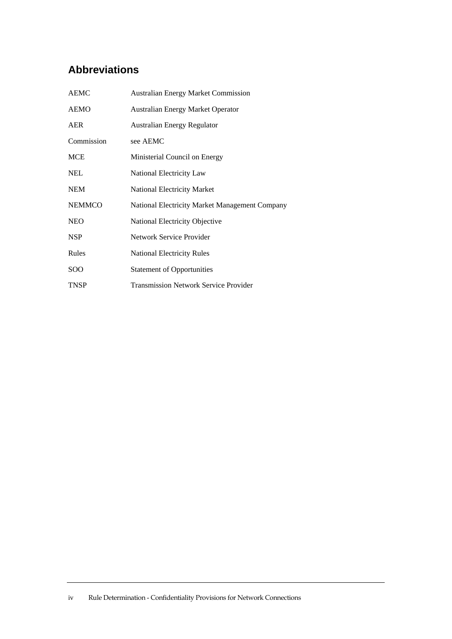# **Abbreviations**

| <b>AEMC</b>   | <b>Australian Energy Market Commission</b>     |
|---------------|------------------------------------------------|
| <b>AEMO</b>   | <b>Australian Energy Market Operator</b>       |
| AER           | <b>Australian Energy Regulator</b>             |
| Commission    | see AEMC                                       |
| <b>MCE</b>    | Ministerial Council on Energy                  |
| <b>NEL</b>    | National Electricity Law                       |
| <b>NEM</b>    | <b>National Electricity Market</b>             |
| <b>NEMMCO</b> | National Electricity Market Management Company |
| <b>NEO</b>    | National Electricity Objective                 |
| <b>NSP</b>    | Network Service Provider                       |
| Rules         | <b>National Electricity Rules</b>              |
| SOO           | <b>Statement of Opportunities</b>              |
| <b>TNSP</b>   | <b>Transmission Network Service Provider</b>   |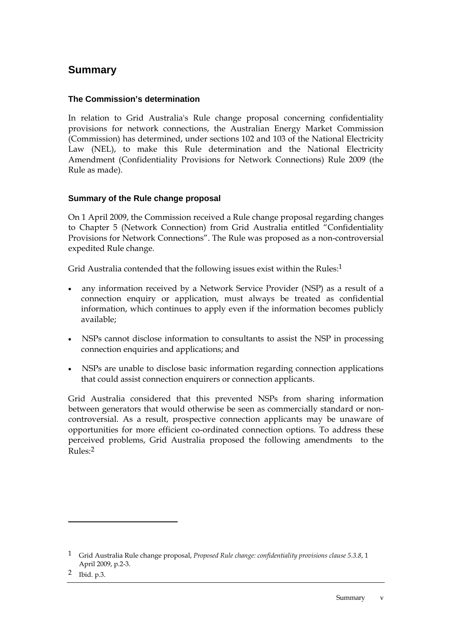# **Summary**

#### **The Commission's determination**

In relation to Grid Australia's Rule change proposal concerning confidentiality provisions for network connections, the Australian Energy Market Commission (Commission) has determined, under sections 102 and 103 of the National Electricity Law (NEL), to make this Rule determination and the National Electricity Amendment (Confidentiality Provisions for Network Connections) Rule 2009 (the Rule as made).

#### **Summary of the Rule change proposal**

On 1 April 2009, the Commission received a Rule change proposal regarding changes to Chapter 5 (Network Connection) from Grid Australia entitled "Confidentiality Provisions for Network Connections". The Rule was proposed as a non-controversial expedited Rule change.

Grid Australia contended that the following issues exist within the Rules:<sup>1</sup>

- any information received by a Network Service Provider (NSP) as a result of a connection enquiry or application, must always be treated as confidential information, which continues to apply even if the information becomes publicly available;
- NSPs cannot disclose information to consultants to assist the NSP in processing connection enquiries and applications; and
- NSPs are unable to disclose basic information regarding connection applications that could assist connection enquirers or connection applicants.

Grid Australia considered that this prevented NSPs from sharing information between generators that would otherwise be seen as commercially standard or noncontroversial. As a result, prospective connection applicants may be unaware of opportunities for more efficient co-ordinated connection options. To address these perceived problems, Grid Australia proposed the following amendments to the Rules:2

<sup>1</sup> Grid Australia Rule change proposal, *Proposed Rule change: confidentiality provisions clause 5.3.8*, 1 April 2009, p.2-3.

<sup>2</sup> Ibid. p.3.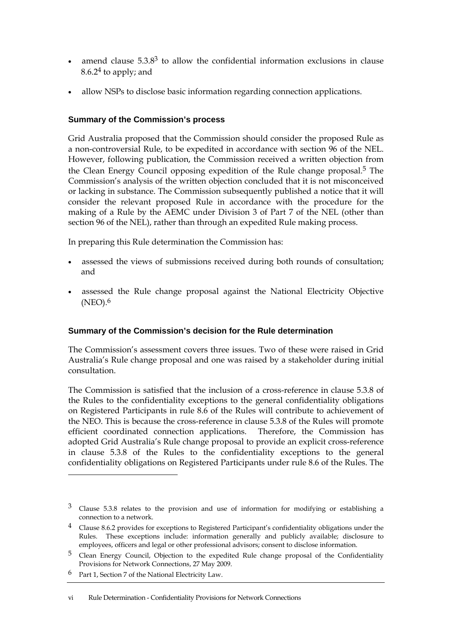- amend clause  $5.3.8<sup>3</sup>$  to allow the confidential information exclusions in clause  $8.6.2<sup>4</sup>$  to apply; and
- allow NSPs to disclose basic information regarding connection applications.

#### **Summary of the Commission's process**

Grid Australia proposed that the Commission should consider the proposed Rule as a non-controversial Rule, to be expedited in accordance with section 96 of the NEL. However, following publication, the Commission received a written objection from the Clean Energy Council opposing expedition of the Rule change proposal.<sup>5</sup> The Commission's analysis of the written objection concluded that it is not misconceived or lacking in substance. The Commission subsequently published a notice that it will consider the relevant proposed Rule in accordance with the procedure for the making of a Rule by the AEMC under Division 3 of Part 7 of the NEL (other than section 96 of the NEL), rather than through an expedited Rule making process.

In preparing this Rule determination the Commission has:

- assessed the views of submissions received during both rounds of consultation; and
- assessed the Rule change proposal against the National Electricity Objective  $(NEO).<sup>6</sup>$

#### **Summary of the Commission's decision for the Rule determination**

The Commission's assessment covers three issues. Two of these were raised in Grid Australia's Rule change proposal and one was raised by a stakeholder during initial consultation.

The Commission is satisfied that the inclusion of a cross-reference in clause 5.3.8 of the Rules to the confidentiality exceptions to the general confidentiality obligations on Registered Participants in rule 8.6 of the Rules will contribute to achievement of the NEO. This is because the cross-reference in clause 5.3.8 of the Rules will promote efficient coordinated connection applications. Therefore, the Commission has adopted Grid Australia's Rule change proposal to provide an explicit cross-reference in clause 5.3.8 of the Rules to the confidentiality exceptions to the general confidentiality obligations on Registered Participants under rule 8.6 of the Rules. The

l

<sup>3</sup> Clause 5.3.8 relates to the provision and use of information for modifying or establishing a connection to a network.

<sup>4</sup> Clause 8.6.2 provides for exceptions to Registered Participant's confidentiality obligations under the Rules. These exceptions include: information generally and publicly available; disclosure to employees, officers and legal or other professional advisors; consent to disclose information.

<sup>5</sup> Clean Energy Council, Objection to the expedited Rule change proposal of the Confidentiality Provisions for Network Connections, 27 May 2009.

<sup>6</sup> Part 1, Section 7 of the National Electricity Law.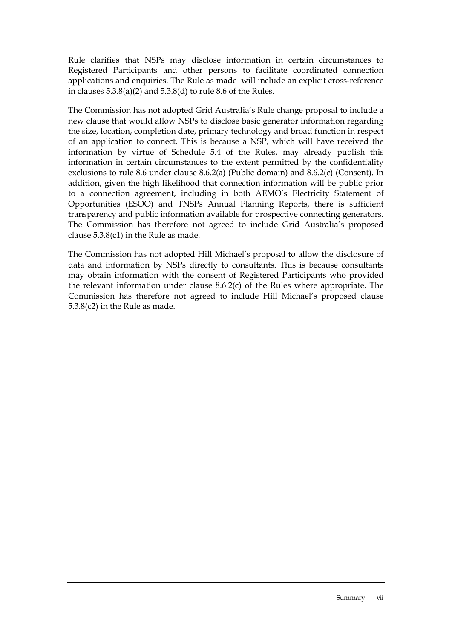Rule clarifies that NSPs may disclose information in certain circumstances to Registered Participants and other persons to facilitate coordinated connection applications and enquiries. The Rule as made will include an explicit cross-reference in clauses  $5.3.8(a)(2)$  and  $5.3.8(d)$  to rule  $8.6$  of the Rules.

The Commission has not adopted Grid Australia's Rule change proposal to include a new clause that would allow NSPs to disclose basic generator information regarding the size, location, completion date, primary technology and broad function in respect of an application to connect. This is because a NSP, which will have received the information by virtue of Schedule 5.4 of the Rules, may already publish this information in certain circumstances to the extent permitted by the confidentiality exclusions to rule 8.6 under clause 8.6.2(a) (Public domain) and 8.6.2(c) (Consent). In addition, given the high likelihood that connection information will be public prior to a connection agreement, including in both AEMO's Electricity Statement of Opportunities (ESOO) and TNSPs Annual Planning Reports, there is sufficient transparency and public information available for prospective connecting generators. The Commission has therefore not agreed to include Grid Australia's proposed clause 5.3.8(c1) in the Rule as made.

The Commission has not adopted Hill Michael's proposal to allow the disclosure of data and information by NSPs directly to consultants. This is because consultants may obtain information with the consent of Registered Participants who provided the relevant information under clause 8.6.2(c) of the Rules where appropriate. The Commission has therefore not agreed to include Hill Michael's proposed clause 5.3.8(c2) in the Rule as made.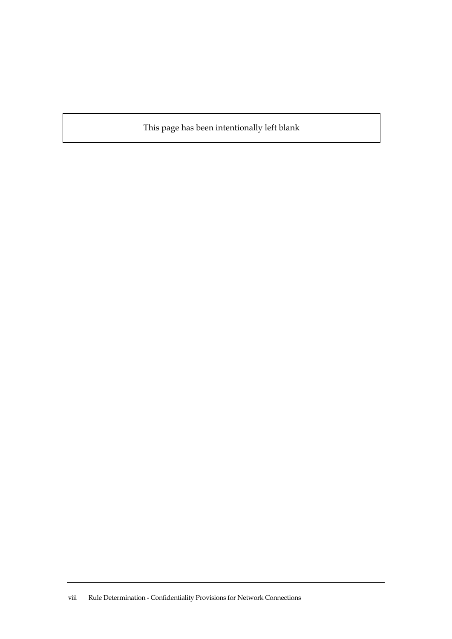This page has been intentionally left blank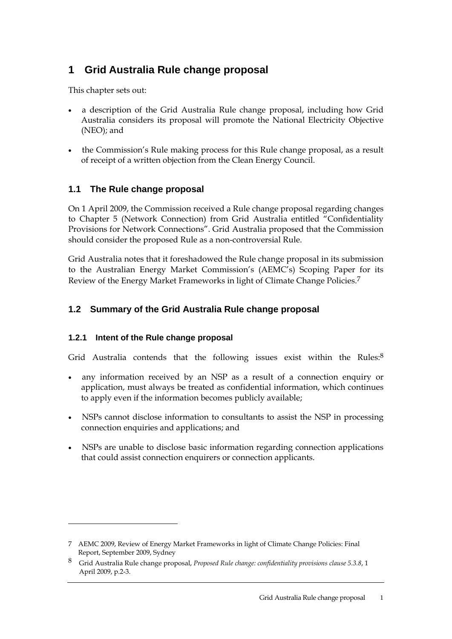# **1 Grid Australia Rule change proposal**

This chapter sets out:

- a description of the Grid Australia Rule change proposal, including how Grid Australia considers its proposal will promote the National Electricity Objective (NEO); and
- the Commission's Rule making process for this Rule change proposal, as a result of receipt of a written objection from the Clean Energy Council.

### **1.1 The Rule change proposal**

On 1 April 2009, the Commission received a Rule change proposal regarding changes to Chapter 5 (Network Connection) from Grid Australia entitled "Confidentiality Provisions for Network Connections". Grid Australia proposed that the Commission should consider the proposed Rule as a non-controversial Rule.

Grid Australia notes that it foreshadowed the Rule change proposal in its submission to the Australian Energy Market Commission's (AEMC's) Scoping Paper for its Review of the Energy Market Frameworks in light of Climate Change Policies.7

### **1.2 Summary of the Grid Australia Rule change proposal**

### **1.2.1 Intent of the Rule change proposal**

 $\overline{a}$ 

Grid Australia contends that the following issues exist within the Rules: $8$ 

- any information received by an NSP as a result of a connection enquiry or application, must always be treated as confidential information, which continues to apply even if the information becomes publicly available;
- NSPs cannot disclose information to consultants to assist the NSP in processing connection enquiries and applications; and
- NSPs are unable to disclose basic information regarding connection applications that could assist connection enquirers or connection applicants.

<sup>7</sup> AEMC 2009, Review of Energy Market Frameworks in light of Climate Change Policies: Final Report, September 2009, Sydney

<sup>8</sup> Grid Australia Rule change proposal, *Proposed Rule change: confidentiality provisions clause 5.3.8*, 1 April 2009, p.2-3.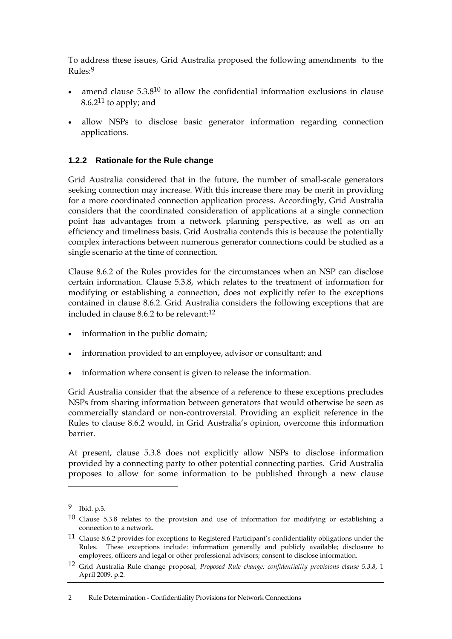To address these issues, Grid Australia proposed the following amendments to the  $Rules.9$ 

- amend clause  $5.3.8^{10}$  to allow the confidential information exclusions in clause  $8.6.2<sup>11</sup>$  to apply; and
- allow NSPs to disclose basic generator information regarding connection applications.

### **1.2.2 Rationale for the Rule change**

Grid Australia considered that in the future, the number of small-scale generators seeking connection may increase. With this increase there may be merit in providing for a more coordinated connection application process. Accordingly, Grid Australia considers that the coordinated consideration of applications at a single connection point has advantages from a network planning perspective, as well as on an efficiency and timeliness basis. Grid Australia contends this is because the potentially complex interactions between numerous generator connections could be studied as a single scenario at the time of connection.

Clause 8.6.2 of the Rules provides for the circumstances when an NSP can disclose certain information. Clause 5.3.8, which relates to the treatment of information for modifying or establishing a connection, does not explicitly refer to the exceptions contained in clause 8.6.2. Grid Australia considers the following exceptions that are included in clause 8.6.2 to be relevant:12

- information in the public domain;
- information provided to an employee, advisor or consultant; and
- information where consent is given to release the information.

Grid Australia consider that the absence of a reference to these exceptions precludes NSPs from sharing information between generators that would otherwise be seen as commercially standard or non-controversial. Providing an explicit reference in the Rules to clause 8.6.2 would, in Grid Australia's opinion, overcome this information barrier.

At present, clause 5.3.8 does not explicitly allow NSPs to disclose information provided by a connecting party to other potential connecting parties. Grid Australia proposes to allow for some information to be published through a new clause

<sup>9</sup> Ibid. p.3.

<sup>10</sup> Clause 5.3.8 relates to the provision and use of information for modifying or establishing a connection to a network.

<sup>11</sup> Clause 8.6.2 provides for exceptions to Registered Participant's confidentiality obligations under the Rules. These exceptions include: information generally and publicly available; disclosure to employees, officers and legal or other professional advisors; consent to disclose information.

<sup>12</sup> Grid Australia Rule change proposal, *Proposed Rule change: confidentiality provisions clause 5.3.8*, 1 April 2009, p.2.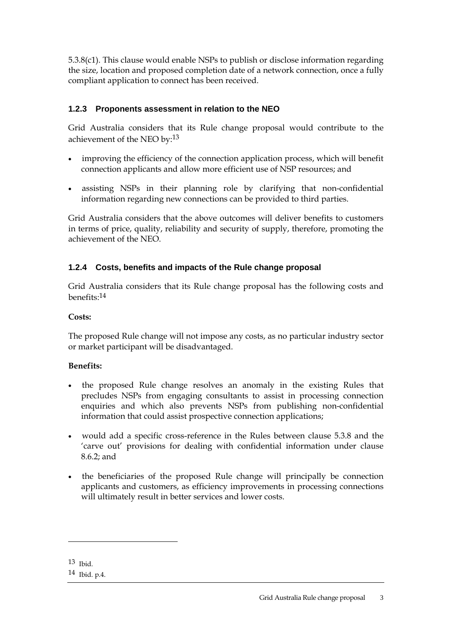5.3.8(c1). This clause would enable NSPs to publish or disclose information regarding the size, location and proposed completion date of a network connection, once a fully compliant application to connect has been received.

### **1.2.3 Proponents assessment in relation to the NEO**

Grid Australia considers that its Rule change proposal would contribute to the achievement of the NEO by:13

- improving the efficiency of the connection application process, which will benefit connection applicants and allow more efficient use of NSP resources; and
- assisting NSPs in their planning role by clarifying that non-confidential information regarding new connections can be provided to third parties.

Grid Australia considers that the above outcomes will deliver benefits to customers in terms of price, quality, reliability and security of supply, therefore, promoting the achievement of the NEO.

### **1.2.4 Costs, benefits and impacts of the Rule change proposal**

Grid Australia considers that its Rule change proposal has the following costs and benefits:14

### **Costs:**

The proposed Rule change will not impose any costs, as no particular industry sector or market participant will be disadvantaged.

### **Benefits:**

- the proposed Rule change resolves an anomaly in the existing Rules that precludes NSPs from engaging consultants to assist in processing connection enquiries and which also prevents NSPs from publishing non-confidential information that could assist prospective connection applications;
- would add a specific cross-reference in the Rules between clause 5.3.8 and the 'carve out' provisions for dealing with confidential information under clause 8.6.2; and
- the beneficiaries of the proposed Rule change will principally be connection applicants and customers, as efficiency improvements in processing connections will ultimately result in better services and lower costs.

 $13$  Ibid.

<sup>14</sup> Ibid. p.4.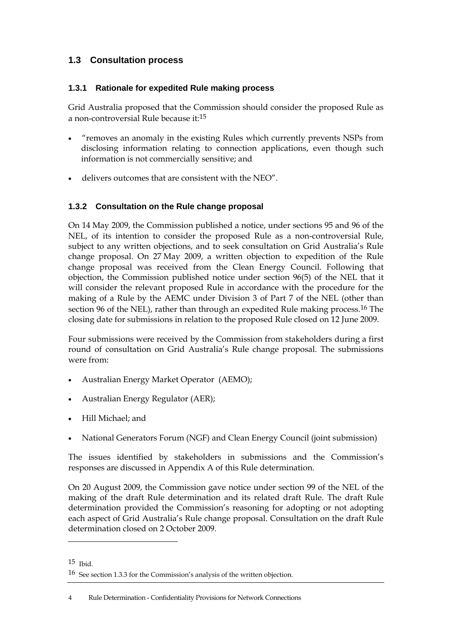### **1.3 Consultation process**

### **1.3.1 Rationale for expedited Rule making process**

Grid Australia proposed that the Commission should consider the proposed Rule as a non-controversial Rule because it:15

- "removes an anomaly in the existing Rules which currently prevents NSPs from disclosing information relating to connection applications, even though such information is not commercially sensitive; and
- delivers outcomes that are consistent with the NEO".

### **1.3.2 Consultation on the Rule change proposal**

On 14 May 2009, the Commission published a notice, under sections 95 and 96 of the NEL, of its intention to consider the proposed Rule as a non-controversial Rule, subject to any written objections, and to seek consultation on Grid Australia's Rule change proposal. On 27 May 2009, a written objection to expedition of the Rule change proposal was received from the Clean Energy Council. Following that objection, the Commission published notice under section 96(5) of the NEL that it will consider the relevant proposed Rule in accordance with the procedure for the making of a Rule by the AEMC under Division 3 of Part 7 of the NEL (other than section 96 of the NEL), rather than through an expedited Rule making process.<sup>16</sup> The closing date for submissions in relation to the proposed Rule closed on 12 June 2009.

Four submissions were received by the Commission from stakeholders during a first round of consultation on Grid Australia's Rule change proposal. The submissions were from:

- Australian Energy Market Operator (AEMO);
- Australian Energy Regulator (AER);
- Hill Michael; and
- National Generators Forum (NGF) and Clean Energy Council (joint submission)

The issues identified by stakeholders in submissions and the Commission's responses are discussed in Appendix A of this Rule determination.

On 20 August 2009, the Commission gave notice under section 99 of the NEL of the making of the draft Rule determination and its related draft Rule. The draft Rule determination provided the Commission's reasoning for adopting or not adopting each aspect of Grid Australia's Rule change proposal. Consultation on the draft Rule determination closed on 2 October 2009.

 $15$  Ibid.

<sup>16</sup> See section 1.3.3 for the Commission's analysis of the written objection.

<sup>4</sup> Rule Determination - Confidentiality Provisions for Network Connections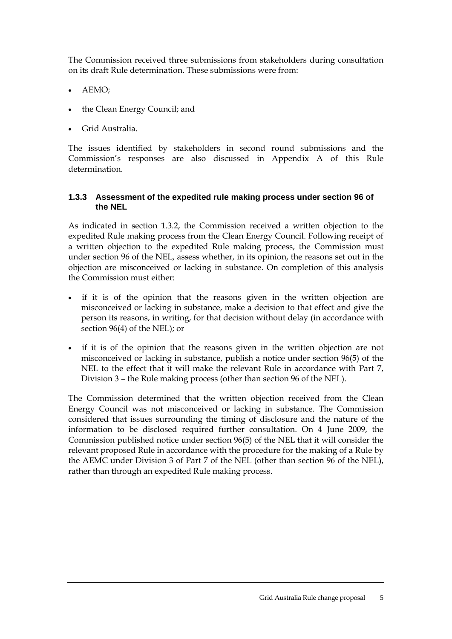The Commission received three submissions from stakeholders during consultation on its draft Rule determination. These submissions were from:

- AEMO;
- the Clean Energy Council; and
- Grid Australia.

The issues identified by stakeholders in second round submissions and the Commission's responses are also discussed in Appendix A of this Rule determination.

#### **1.3.3 Assessment of the expedited rule making process under section 96 of the NEL**

As indicated in section 1.3.2, the Commission received a written objection to the expedited Rule making process from the Clean Energy Council. Following receipt of a written objection to the expedited Rule making process, the Commission must under section 96 of the NEL, assess whether, in its opinion, the reasons set out in the objection are misconceived or lacking in substance. On completion of this analysis the Commission must either:

- if it is of the opinion that the reasons given in the written objection are misconceived or lacking in substance, make a decision to that effect and give the person its reasons, in writing, for that decision without delay (in accordance with section 96(4) of the NEL); or
- if it is of the opinion that the reasons given in the written objection are not misconceived or lacking in substance, publish a notice under section 96(5) of the NEL to the effect that it will make the relevant Rule in accordance with Part 7, Division 3 – the Rule making process (other than section 96 of the NEL).

The Commission determined that the written objection received from the Clean Energy Council was not misconceived or lacking in substance. The Commission considered that issues surrounding the timing of disclosure and the nature of the information to be disclosed required further consultation. On 4 June 2009, the Commission published notice under section 96(5) of the NEL that it will consider the relevant proposed Rule in accordance with the procedure for the making of a Rule by the AEMC under Division 3 of Part 7 of the NEL (other than section 96 of the NEL), rather than through an expedited Rule making process.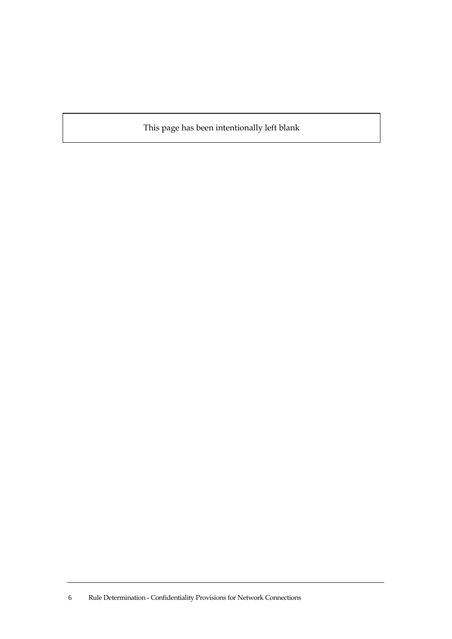This page has been intentionally left blank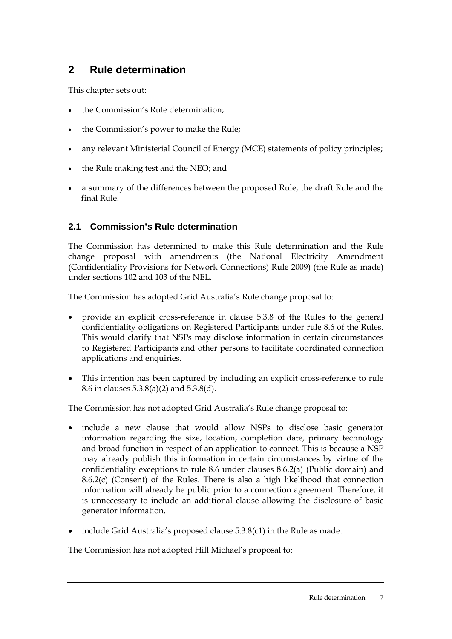# **2 Rule determination**

This chapter sets out:

- the Commission's Rule determination;
- the Commission's power to make the Rule;
- any relevant Ministerial Council of Energy (MCE) statements of policy principles;
- the Rule making test and the NEO; and
- a summary of the differences between the proposed Rule, the draft Rule and the final Rule.

### **2.1 Commission's Rule determination**

The Commission has determined to make this Rule determination and the Rule change proposal with amendments (the National Electricity Amendment (Confidentiality Provisions for Network Connections) Rule 2009) (the Rule as made) under sections 102 and 103 of the NEL.

The Commission has adopted Grid Australia's Rule change proposal to:

- provide an explicit cross-reference in clause 5.3.8 of the Rules to the general confidentiality obligations on Registered Participants under rule 8.6 of the Rules. This would clarify that NSPs may disclose information in certain circumstances to Registered Participants and other persons to facilitate coordinated connection applications and enquiries.
- This intention has been captured by including an explicit cross-reference to rule 8.6 in clauses 5.3.8(a)(2) and 5.3.8(d).

The Commission has not adopted Grid Australia's Rule change proposal to:

- include a new clause that would allow NSPs to disclose basic generator information regarding the size, location, completion date, primary technology and broad function in respect of an application to connect. This is because a NSP may already publish this information in certain circumstances by virtue of the confidentiality exceptions to rule 8.6 under clauses 8.6.2(a) (Public domain) and 8.6.2(c) (Consent) of the Rules. There is also a high likelihood that connection information will already be public prior to a connection agreement. Therefore, it is unnecessary to include an additional clause allowing the disclosure of basic generator information.
- include Grid Australia's proposed clause 5.3.8(c1) in the Rule as made.

The Commission has not adopted Hill Michael's proposal to: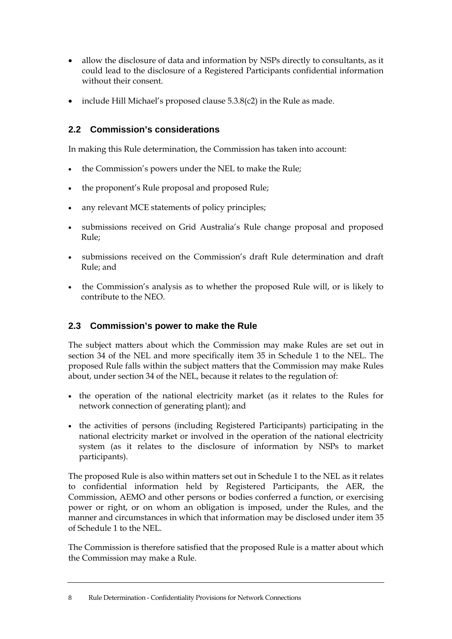- allow the disclosure of data and information by NSPs directly to consultants, as it could lead to the disclosure of a Registered Participants confidential information without their consent.
- include Hill Michael's proposed clause 5.3.8(c2) in the Rule as made.

### **2.2 Commission's considerations**

In making this Rule determination, the Commission has taken into account:

- the Commission's powers under the NEL to make the Rule;
- the proponent's Rule proposal and proposed Rule;
- any relevant MCE statements of policy principles;
- submissions received on Grid Australia's Rule change proposal and proposed Rule;
- submissions received on the Commission's draft Rule determination and draft Rule; and
- the Commission's analysis as to whether the proposed Rule will, or is likely to contribute to the NEO.

### **2.3 Commission's power to make the Rule**

The subject matters about which the Commission may make Rules are set out in section 34 of the NEL and more specifically item 35 in Schedule 1 to the NEL. The proposed Rule falls within the subject matters that the Commission may make Rules about, under section 34 of the NEL, because it relates to the regulation of:

- the operation of the national electricity market (as it relates to the Rules for network connection of generating plant); and
- the activities of persons (including Registered Participants) participating in the national electricity market or involved in the operation of the national electricity system (as it relates to the disclosure of information by NSPs to market participants).

The proposed Rule is also within matters set out in Schedule 1 to the NEL as it relates to confidential information held by Registered Participants, the AER, the Commission, AEMO and other persons or bodies conferred a function, or exercising power or right, or on whom an obligation is imposed, under the Rules, and the manner and circumstances in which that information may be disclosed under item 35 of Schedule 1 to the NEL.

The Commission is therefore satisfied that the proposed Rule is a matter about which the Commission may make a Rule.

8 Rule Determination - Confidentiality Provisions for Network Connections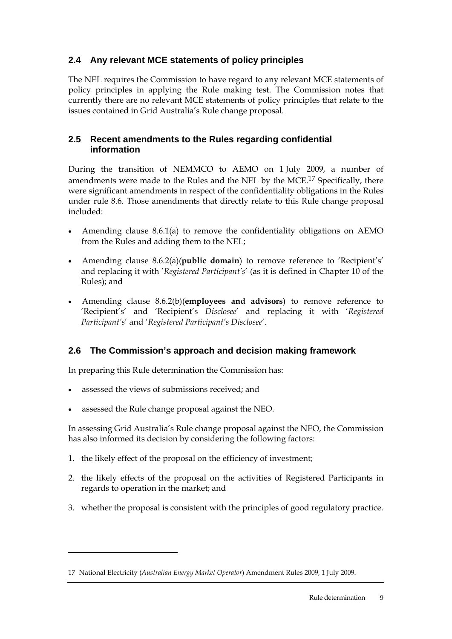### **2.4 Any relevant MCE statements of policy principles**

The NEL requires the Commission to have regard to any relevant MCE statements of policy principles in applying the Rule making test. The Commission notes that currently there are no relevant MCE statements of policy principles that relate to the issues contained in Grid Australia's Rule change proposal.

### **2.5 Recent amendments to the Rules regarding confidential information**

During the transition of NEMMCO to AEMO on 1 July 2009, a number of amendments were made to the Rules and the NEL by the MCE.17 Specifically, there were significant amendments in respect of the confidentiality obligations in the Rules under rule 8.6. Those amendments that directly relate to this Rule change proposal included:

- Amending clause 8.6.1(a) to remove the confidentiality obligations on AEMO from the Rules and adding them to the NEL;
- Amending clause 8.6.2(a)(**public domain**) to remove reference to 'Recipient's' and replacing it with '*Registered Participant's*' (as it is defined in Chapter 10 of the Rules); and
- Amending clause 8.6.2(b)(**employees and advisors**) to remove reference to 'Recipient's' and 'Recipient's *Disclosee*' and replacing it with '*Registered Participant's*' and '*Registered Participant's Disclosee*'.

### **2.6 The Commission's approach and decision making framework**

In preparing this Rule determination the Commission has:

• assessed the views of submissions received; and

 $\overline{a}$ 

• assessed the Rule change proposal against the NEO.

In assessing Grid Australia's Rule change proposal against the NEO, the Commission has also informed its decision by considering the following factors:

- 1. the likely effect of the proposal on the efficiency of investment;
- 2. the likely effects of the proposal on the activities of Registered Participants in regards to operation in the market; and
- 3. whether the proposal is consistent with the principles of good regulatory practice.

<sup>17</sup> National Electricity (*Australian Energy Market Operator*) Amendment Rules 2009, 1 July 2009.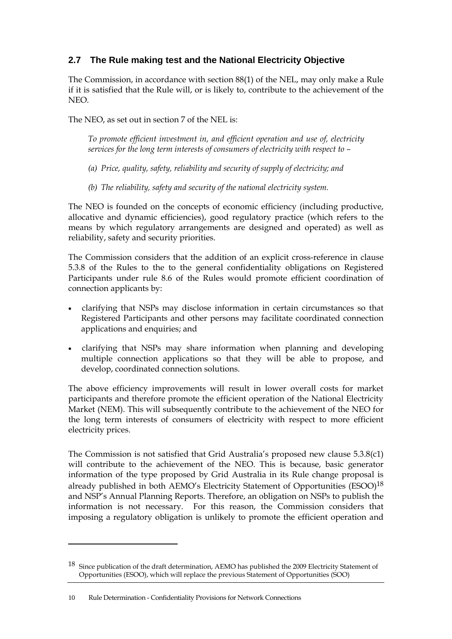### **2.7 The Rule making test and the National Electricity Objective**

The Commission, in accordance with section 88(1) of the NEL, may only make a Rule if it is satisfied that the Rule will, or is likely to, contribute to the achievement of the NEO.

The NEO, as set out in section 7 of the NEL is:

*To promote efficient investment in, and efficient operation and use of, electricity services for the long term interests of consumers of electricity with respect to –* 

- *(a) Price, quality, safety, reliability and security of supply of electricity; and*
- *(b) The reliability, safety and security of the national electricity system.*

The NEO is founded on the concepts of economic efficiency (including productive, allocative and dynamic efficiencies), good regulatory practice (which refers to the means by which regulatory arrangements are designed and operated) as well as reliability, safety and security priorities.

The Commission considers that the addition of an explicit cross-reference in clause 5.3.8 of the Rules to the to the general confidentiality obligations on Registered Participants under rule 8.6 of the Rules would promote efficient coordination of connection applicants by:

- clarifying that NSPs may disclose information in certain circumstances so that Registered Participants and other persons may facilitate coordinated connection applications and enquiries; and
- clarifying that NSPs may share information when planning and developing multiple connection applications so that they will be able to propose, and develop, coordinated connection solutions.

The above efficiency improvements will result in lower overall costs for market participants and therefore promote the efficient operation of the National Electricity Market (NEM). This will subsequently contribute to the achievement of the NEO for the long term interests of consumers of electricity with respect to more efficient electricity prices.

The Commission is not satisfied that Grid Australia's proposed new clause 5.3.8(c1) will contribute to the achievement of the NEO. This is because, basic generator information of the type proposed by Grid Australia in its Rule change proposal is already published in both AEMO's Electricity Statement of Opportunities (ESOO)18 and NSP's Annual Planning Reports. Therefore, an obligation on NSPs to publish the information is not necessary. For this reason, the Commission considers that imposing a regulatory obligation is unlikely to promote the efficient operation and

<sup>18</sup> Since publication of the draft determination, AEMO has published the 2009 Electricity Statement of Opportunities (ESOO), which will replace the previous Statement of Opportunities (SOO)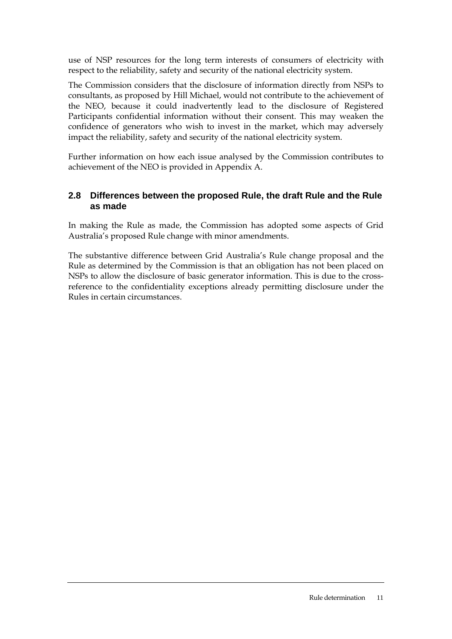use of NSP resources for the long term interests of consumers of electricity with respect to the reliability, safety and security of the national electricity system.

The Commission considers that the disclosure of information directly from NSPs to consultants, as proposed by Hill Michael, would not contribute to the achievement of the NEO, because it could inadvertently lead to the disclosure of Registered Participants confidential information without their consent. This may weaken the confidence of generators who wish to invest in the market, which may adversely impact the reliability, safety and security of the national electricity system.

Further information on how each issue analysed by the Commission contributes to achievement of the NEO is provided in Appendix A.

### **2.8 Differences between the proposed Rule, the draft Rule and the Rule as made**

In making the Rule as made, the Commission has adopted some aspects of Grid Australia's proposed Rule change with minor amendments.

The substantive difference between Grid Australia's Rule change proposal and the Rule as determined by the Commission is that an obligation has not been placed on NSPs to allow the disclosure of basic generator information. This is due to the crossreference to the confidentiality exceptions already permitting disclosure under the Rules in certain circumstances.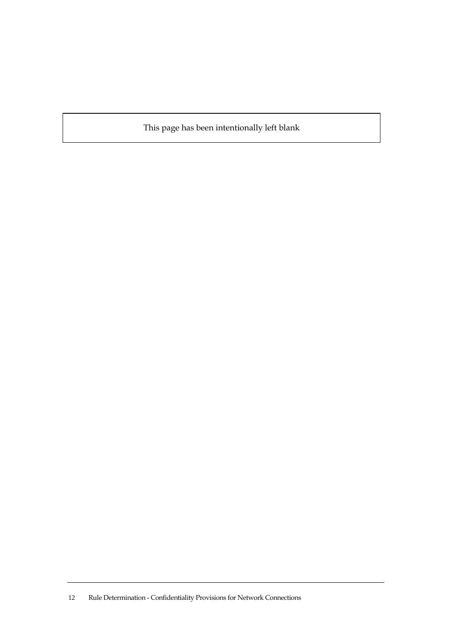This page has been intentionally left blank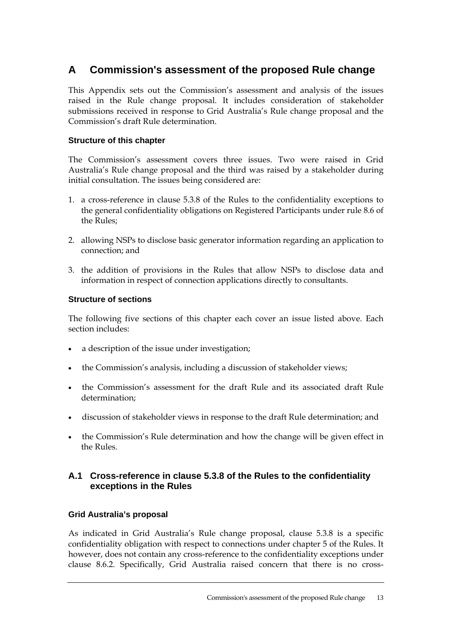# **A Commission's assessment of the proposed Rule change**

This Appendix sets out the Commission's assessment and analysis of the issues raised in the Rule change proposal. It includes consideration of stakeholder submissions received in response to Grid Australia's Rule change proposal and the Commission's draft Rule determination.

#### **Structure of this chapter**

The Commission's assessment covers three issues. Two were raised in Grid Australia's Rule change proposal and the third was raised by a stakeholder during initial consultation. The issues being considered are:

- 1. a cross-reference in clause 5.3.8 of the Rules to the confidentiality exceptions to the general confidentiality obligations on Registered Participants under rule 8.6 of the Rules;
- 2. allowing NSPs to disclose basic generator information regarding an application to connection; and
- 3. the addition of provisions in the Rules that allow NSPs to disclose data and information in respect of connection applications directly to consultants.

#### **Structure of sections**

The following five sections of this chapter each cover an issue listed above. Each section includes:

- a description of the issue under investigation;
- the Commission's analysis, including a discussion of stakeholder views;
- the Commission's assessment for the draft Rule and its associated draft Rule determination;
- discussion of stakeholder views in response to the draft Rule determination; and
- the Commission's Rule determination and how the change will be given effect in the Rules.

### **A.1 Cross-reference in clause 5.3.8 of the Rules to the confidentiality exceptions in the Rules**

### **Grid Australia's proposal**

As indicated in Grid Australia's Rule change proposal, clause 5.3.8 is a specific confidentiality obligation with respect to connections under chapter 5 of the Rules. It however, does not contain any cross-reference to the confidentiality exceptions under clause 8.6.2. Specifically, Grid Australia raised concern that there is no cross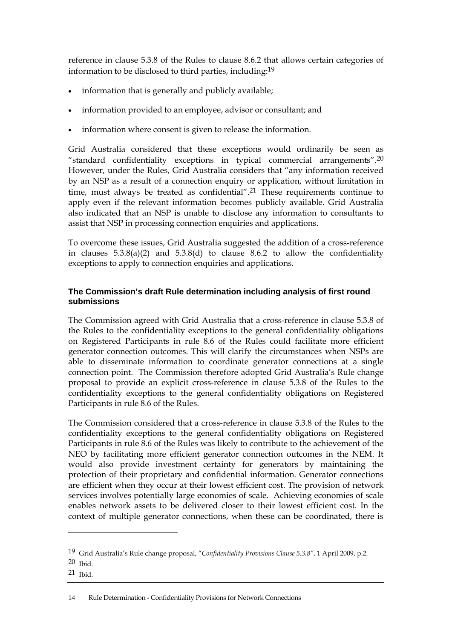reference in clause 5.3.8 of the Rules to clause 8.6.2 that allows certain categories of information to be disclosed to third parties, including:19

- information that is generally and publicly available;
- information provided to an employee, advisor or consultant; and
- information where consent is given to release the information.

Grid Australia considered that these exceptions would ordinarily be seen as "standard confidentiality exceptions in typical commercial arrangements".20 However, under the Rules, Grid Australia considers that "any information received by an NSP as a result of a connection enquiry or application, without limitation in time, must always be treated as confidential".<sup>21</sup> These requirements continue to apply even if the relevant information becomes publicly available. Grid Australia also indicated that an NSP is unable to disclose any information to consultants to assist that NSP in processing connection enquiries and applications.

To overcome these issues, Grid Australia suggested the addition of a cross-reference in clauses  $5.3.8(a)(2)$  and  $5.3.8(d)$  to clause  $8.6.2$  to allow the confidentiality exceptions to apply to connection enquiries and applications.

#### **The Commission's draft Rule determination including analysis of first round submissions**

The Commission agreed with Grid Australia that a cross-reference in clause 5.3.8 of the Rules to the confidentiality exceptions to the general confidentiality obligations on Registered Participants in rule 8.6 of the Rules could facilitate more efficient generator connection outcomes. This will clarify the circumstances when NSPs are able to disseminate information to coordinate generator connections at a single connection point. The Commission therefore adopted Grid Australia's Rule change proposal to provide an explicit cross-reference in clause 5.3.8 of the Rules to the confidentiality exceptions to the general confidentiality obligations on Registered Participants in rule 8.6 of the Rules.

The Commission considered that a cross-reference in clause 5.3.8 of the Rules to the confidentiality exceptions to the general confidentiality obligations on Registered Participants in rule 8.6 of the Rules was likely to contribute to the achievement of the NEO by facilitating more efficient generator connection outcomes in the NEM. It would also provide investment certainty for generators by maintaining the protection of their proprietary and confidential information. Generator connections are efficient when they occur at their lowest efficient cost. The provision of network services involves potentially large economies of scale. Achieving economies of scale enables network assets to be delivered closer to their lowest efficient cost. In the context of multiple generator connections, when these can be coordinated, there is

20 Ibid.

-

 $21$  Ibid.

<sup>19</sup> Grid Australia's Rule change proposal, "*Confidentiality Provisions Clause 5.3.8"*, 1 April 2009, p.2.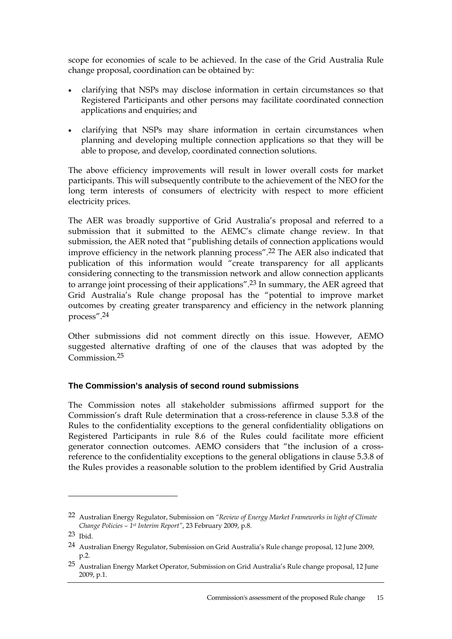scope for economies of scale to be achieved. In the case of the Grid Australia Rule change proposal, coordination can be obtained by:

- clarifying that NSPs may disclose information in certain circumstances so that Registered Participants and other persons may facilitate coordinated connection applications and enquiries; and
- clarifying that NSPs may share information in certain circumstances when planning and developing multiple connection applications so that they will be able to propose, and develop, coordinated connection solutions.

The above efficiency improvements will result in lower overall costs for market participants. This will subsequently contribute to the achievement of the NEO for the long term interests of consumers of electricity with respect to more efficient electricity prices.

The AER was broadly supportive of Grid Australia's proposal and referred to a submission that it submitted to the AEMC's climate change review. In that submission, the AER noted that "publishing details of connection applications would improve efficiency in the network planning process".22 The AER also indicated that publication of this information would "create transparency for all applicants considering connecting to the transmission network and allow connection applicants to arrange joint processing of their applications".23 In summary, the AER agreed that Grid Australia's Rule change proposal has the "potential to improve market outcomes by creating greater transparency and efficiency in the network planning process".24

Other submissions did not comment directly on this issue. However, AEMO suggested alternative drafting of one of the clauses that was adopted by the Commission.25

#### **The Commission's analysis of second round submissions**

The Commission notes all stakeholder submissions affirmed support for the Commission's draft Rule determination that a cross-reference in clause 5.3.8 of the Rules to the confidentiality exceptions to the general confidentiality obligations on Registered Participants in rule 8.6 of the Rules could facilitate more efficient generator connection outcomes. AEMO considers that "the inclusion of a crossreference to the confidentiality exceptions to the general obligations in clause 5.3.8 of the Rules provides a reasonable solution to the problem identified by Grid Australia

<sup>22</sup> Australian Energy Regulator, Submission on *"Review of Energy Market Frameworks in light of Climate Change Policies – 1st Interim Report"*, 23 February 2009, p.8.

<sup>23</sup> Ibid.

<sup>24</sup> Australian Energy Regulator, Submission on Grid Australia's Rule change proposal, 12 June 2009, p.2.

<sup>25</sup> Australian Energy Market Operator, Submission on Grid Australia's Rule change proposal, 12 June 2009, p.1.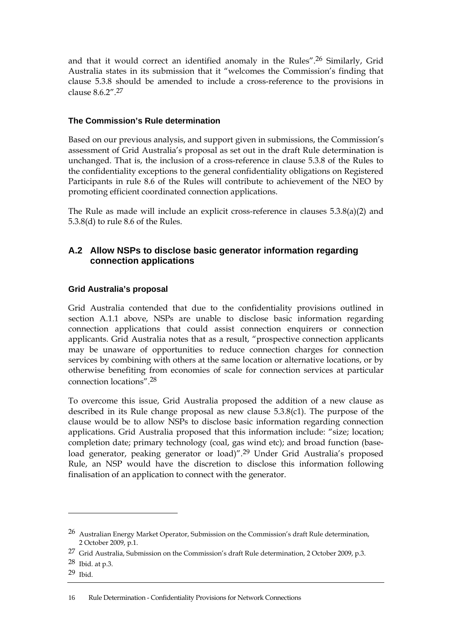and that it would correct an identified anomaly in the Rules".26 Similarly, Grid Australia states in its submission that it "welcomes the Commission's finding that clause 5.3.8 should be amended to include a cross-reference to the provisions in clause 8.6.2".27

#### **The Commission's Rule determination**

Based on our previous analysis, and support given in submissions, the Commission's assessment of Grid Australia's proposal as set out in the draft Rule determination is unchanged. That is, the inclusion of a cross-reference in clause 5.3.8 of the Rules to the confidentiality exceptions to the general confidentiality obligations on Registered Participants in rule 8.6 of the Rules will contribute to achievement of the NEO by promoting efficient coordinated connection applications.

The Rule as made will include an explicit cross-reference in clauses 5.3.8(a)(2) and 5.3.8(d) to rule 8.6 of the Rules.

### **A.2 Allow NSPs to disclose basic generator information regarding connection applications**

### **Grid Australia's proposal**

Grid Australia contended that due to the confidentiality provisions outlined in section A.1.1 above, NSPs are unable to disclose basic information regarding connection applications that could assist connection enquirers or connection applicants. Grid Australia notes that as a result, "prospective connection applicants may be unaware of opportunities to reduce connection charges for connection services by combining with others at the same location or alternative locations, or by otherwise benefiting from economies of scale for connection services at particular connection locations".28

To overcome this issue, Grid Australia proposed the addition of a new clause as described in its Rule change proposal as new clause 5.3.8(c1). The purpose of the clause would be to allow NSPs to disclose basic information regarding connection applications. Grid Australia proposed that this information include: "size; location; completion date; primary technology (coal, gas wind etc); and broad function (baseload generator, peaking generator or load)".29 Under Grid Australia's proposed Rule, an NSP would have the discretion to disclose this information following finalisation of an application to connect with the generator.

<sup>26</sup> Australian Energy Market Operator, Submission on the Commission's draft Rule determination, 2 October 2009, p.1.

<sup>27</sup> Grid Australia, Submission on the Commission's draft Rule determination, 2 October 2009, p.3.

<sup>28</sup> Ibid. at p.3.

 $29$  Ibid.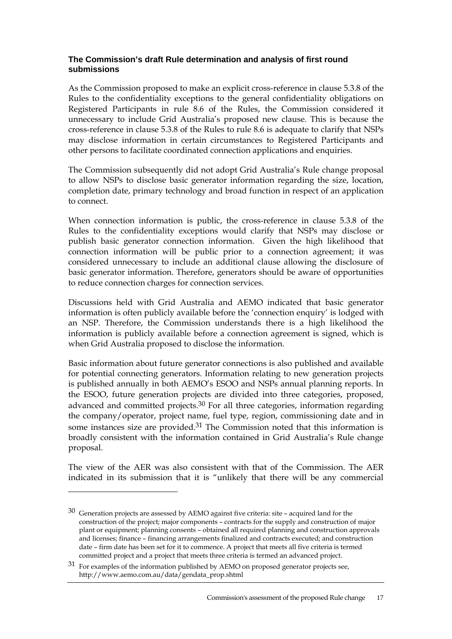#### **The Commission's draft Rule determination and analysis of first round submissions**

As the Commission proposed to make an explicit cross-reference in clause 5.3.8 of the Rules to the confidentiality exceptions to the general confidentiality obligations on Registered Participants in rule 8.6 of the Rules, the Commission considered it unnecessary to include Grid Australia's proposed new clause. This is because the cross-reference in clause 5.3.8 of the Rules to rule 8.6 is adequate to clarify that NSPs may disclose information in certain circumstances to Registered Participants and other persons to facilitate coordinated connection applications and enquiries.

The Commission subsequently did not adopt Grid Australia's Rule change proposal to allow NSPs to disclose basic generator information regarding the size, location, completion date, primary technology and broad function in respect of an application to connect.

When connection information is public, the cross-reference in clause 5.3.8 of the Rules to the confidentiality exceptions would clarify that NSPs may disclose or publish basic generator connection information. Given the high likelihood that connection information will be public prior to a connection agreement; it was considered unnecessary to include an additional clause allowing the disclosure of basic generator information. Therefore, generators should be aware of opportunities to reduce connection charges for connection services.

Discussions held with Grid Australia and AEMO indicated that basic generator information is often publicly available before the 'connection enquiry' is lodged with an NSP. Therefore, the Commission understands there is a high likelihood the information is publicly available before a connection agreement is signed, which is when Grid Australia proposed to disclose the information.

Basic information about future generator connections is also published and available for potential connecting generators. Information relating to new generation projects is published annually in both AEMO's ESOO and NSPs annual planning reports. In the ESOO, future generation projects are divided into three categories, proposed, advanced and committed projects.<sup>30</sup> For all three categories, information regarding the company/operator, project name, fuel type, region, commissioning date and in some instances size are provided.<sup>31</sup> The Commission noted that this information is broadly consistent with the information contained in Grid Australia's Rule change proposal.

The view of the AER was also consistent with that of the Commission. The AER indicated in its submission that it is "unlikely that there will be any commercial

<sup>30</sup> Generation projects are assessed by AEMO against five criteria: site – acquired land for the construction of the project; major components – contracts for the supply and construction of major plant or equipment; planning consents – obtained all required planning and construction approvals and licenses; finance – financing arrangements finalized and contracts executed; and construction date – firm date has been set for it to commence. A project that meets all five criteria is termed committed project and a project that meets three criteria is termed an advanced project.

<sup>31</sup> For examples of the information published by AEMO on proposed generator projects see, http://www.aemo.com.au/data/gendata\_prop.shtml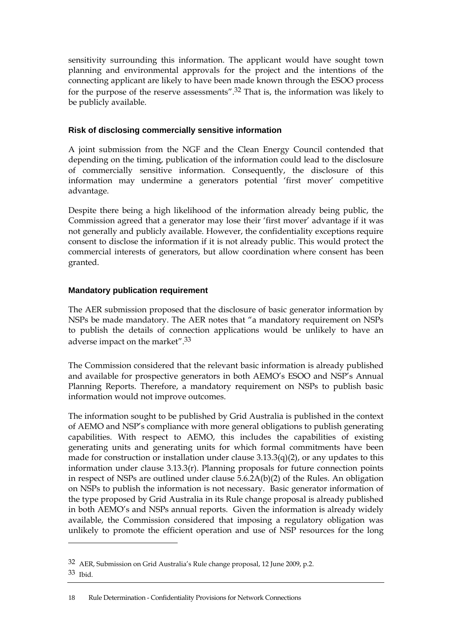sensitivity surrounding this information. The applicant would have sought town planning and environmental approvals for the project and the intentions of the connecting applicant are likely to have been made known through the ESOO process for the purpose of the reserve assessments".32 That is, the information was likely to be publicly available.

#### **Risk of disclosing commercially sensitive information**

A joint submission from the NGF and the Clean Energy Council contended that depending on the timing, publication of the information could lead to the disclosure of commercially sensitive information. Consequently, the disclosure of this information may undermine a generators potential 'first mover' competitive advantage.

Despite there being a high likelihood of the information already being public, the Commission agreed that a generator may lose their 'first mover' advantage if it was not generally and publicly available. However, the confidentiality exceptions require consent to disclose the information if it is not already public. This would protect the commercial interests of generators, but allow coordination where consent has been granted.

### **Mandatory publication requirement**

The AER submission proposed that the disclosure of basic generator information by NSPs be made mandatory. The AER notes that "a mandatory requirement on NSPs to publish the details of connection applications would be unlikely to have an adverse impact on the market".33

The Commission considered that the relevant basic information is already published and available for prospective generators in both AEMO's ESOO and NSP's Annual Planning Reports. Therefore, a mandatory requirement on NSPs to publish basic information would not improve outcomes.

The information sought to be published by Grid Australia is published in the context of AEMO and NSP's compliance with more general obligations to publish generating capabilities. With respect to AEMO, this includes the capabilities of existing generating units and generating units for which formal commitments have been made for construction or installation under clause  $3.13.3(q)(2)$ , or any updates to this information under clause 3.13.3(r). Planning proposals for future connection points in respect of NSPs are outlined under clause 5.6.2A(b)(2) of the Rules. An obligation on NSPs to publish the information is not necessary. Basic generator information of the type proposed by Grid Australia in its Rule change proposal is already published in both AEMO's and NSPs annual reports. Given the information is already widely available, the Commission considered that imposing a regulatory obligation was unlikely to promote the efficient operation and use of NSP resources for the long

<sup>32</sup> AER, Submission on Grid Australia's Rule change proposal, 12 June 2009, p.2.

<sup>33</sup> Ibid.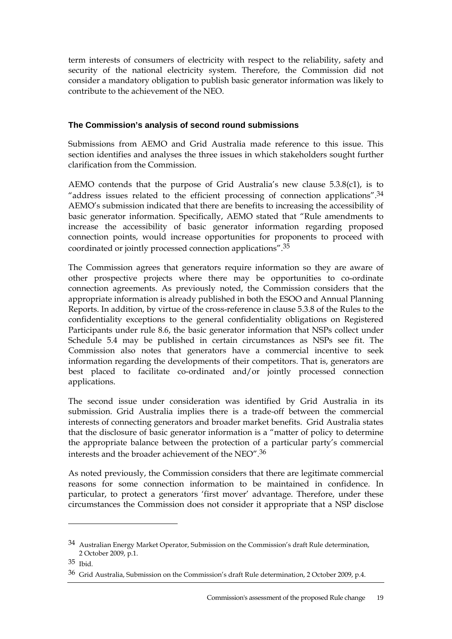term interests of consumers of electricity with respect to the reliability, safety and security of the national electricity system. Therefore, the Commission did not consider a mandatory obligation to publish basic generator information was likely to contribute to the achievement of the NEO.

#### **The Commission's analysis of second round submissions**

Submissions from AEMO and Grid Australia made reference to this issue. This section identifies and analyses the three issues in which stakeholders sought further clarification from the Commission.

AEMO contends that the purpose of Grid Australia's new clause 5.3.8(c1), is to "address issues related to the efficient processing of connection applications".34 AEMO's submission indicated that there are benefits to increasing the accessibility of basic generator information. Specifically, AEMO stated that "Rule amendments to increase the accessibility of basic generator information regarding proposed connection points, would increase opportunities for proponents to proceed with coordinated or jointly processed connection applications".35

The Commission agrees that generators require information so they are aware of other prospective projects where there may be opportunities to co-ordinate connection agreements. As previously noted, the Commission considers that the appropriate information is already published in both the ESOO and Annual Planning Reports. In addition, by virtue of the cross-reference in clause 5.3.8 of the Rules to the confidentiality exceptions to the general confidentiality obligations on Registered Participants under rule 8.6, the basic generator information that NSPs collect under Schedule 5.4 may be published in certain circumstances as NSPs see fit. The Commission also notes that generators have a commercial incentive to seek information regarding the developments of their competitors. That is, generators are best placed to facilitate co-ordinated and/or jointly processed connection applications.

The second issue under consideration was identified by Grid Australia in its submission. Grid Australia implies there is a trade-off between the commercial interests of connecting generators and broader market benefits. Grid Australia states that the disclosure of basic generator information is a "matter of policy to determine the appropriate balance between the protection of a particular party's commercial interests and the broader achievement of the NEO".36

As noted previously, the Commission considers that there are legitimate commercial reasons for some connection information to be maintained in confidence. In particular, to protect a generators 'first mover' advantage. Therefore, under these circumstances the Commission does not consider it appropriate that a NSP disclose

-

<sup>34</sup> Australian Energy Market Operator, Submission on the Commission's draft Rule determination, 2 October 2009, p.1.

<sup>35</sup> Ibid.

<sup>36</sup> Grid Australia, Submission on the Commission's draft Rule determination, 2 October 2009, p.4.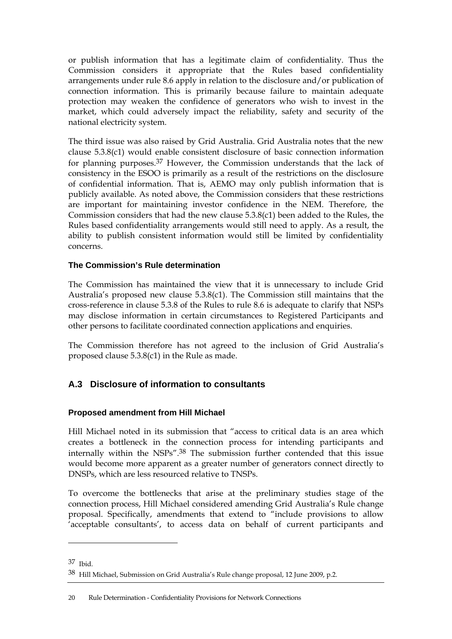or publish information that has a legitimate claim of confidentiality. Thus the Commission considers it appropriate that the Rules based confidentiality arrangements under rule 8.6 apply in relation to the disclosure and/or publication of connection information. This is primarily because failure to maintain adequate protection may weaken the confidence of generators who wish to invest in the market, which could adversely impact the reliability, safety and security of the national electricity system.

The third issue was also raised by Grid Australia. Grid Australia notes that the new clause 5.3.8(c1) would enable consistent disclosure of basic connection information for planning purposes.37 However, the Commission understands that the lack of consistency in the ESOO is primarily as a result of the restrictions on the disclosure of confidential information. That is, AEMO may only publish information that is publicly available. As noted above, the Commission considers that these restrictions are important for maintaining investor confidence in the NEM. Therefore, the Commission considers that had the new clause 5.3.8(c1) been added to the Rules, the Rules based confidentiality arrangements would still need to apply. As a result, the ability to publish consistent information would still be limited by confidentiality concerns.

### **The Commission's Rule determination**

The Commission has maintained the view that it is unnecessary to include Grid Australia's proposed new clause 5.3.8(c1). The Commission still maintains that the cross-reference in clause 5.3.8 of the Rules to rule 8.6 is adequate to clarify that NSPs may disclose information in certain circumstances to Registered Participants and other persons to facilitate coordinated connection applications and enquiries.

The Commission therefore has not agreed to the inclusion of Grid Australia's proposed clause 5.3.8(c1) in the Rule as made.

### **A.3 Disclosure of information to consultants**

### **Proposed amendment from Hill Michael**

Hill Michael noted in its submission that "access to critical data is an area which creates a bottleneck in the connection process for intending participants and internally within the NSPs".38 The submission further contended that this issue would become more apparent as a greater number of generators connect directly to DNSPs, which are less resourced relative to TNSPs.

To overcome the bottlenecks that arise at the preliminary studies stage of the connection process, Hill Michael considered amending Grid Australia's Rule change proposal. Specifically, amendments that extend to "include provisions to allow 'acceptable consultants', to access data on behalf of current participants and

37 Ibid.

<sup>38</sup> Hill Michael, Submission on Grid Australia's Rule change proposal, 12 June 2009, p.2.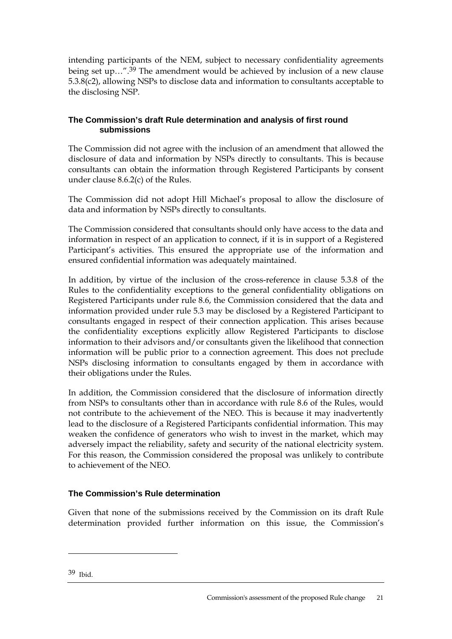intending participants of the NEM, subject to necessary confidentiality agreements being set up…".39 The amendment would be achieved by inclusion of a new clause 5.3.8(c2), allowing NSPs to disclose data and information to consultants acceptable to the disclosing NSP.

#### **The Commission's draft Rule determination and analysis of first round submissions**

The Commission did not agree with the inclusion of an amendment that allowed the disclosure of data and information by NSPs directly to consultants. This is because consultants can obtain the information through Registered Participants by consent under clause 8.6.2(c) of the Rules.

The Commission did not adopt Hill Michael's proposal to allow the disclosure of data and information by NSPs directly to consultants.

The Commission considered that consultants should only have access to the data and information in respect of an application to connect, if it is in support of a Registered Participant's activities. This ensured the appropriate use of the information and ensured confidential information was adequately maintained.

In addition, by virtue of the inclusion of the cross-reference in clause 5.3.8 of the Rules to the confidentiality exceptions to the general confidentiality obligations on Registered Participants under rule 8.6, the Commission considered that the data and information provided under rule 5.3 may be disclosed by a Registered Participant to consultants engaged in respect of their connection application. This arises because the confidentiality exceptions explicitly allow Registered Participants to disclose information to their advisors and/or consultants given the likelihood that connection information will be public prior to a connection agreement. This does not preclude NSPs disclosing information to consultants engaged by them in accordance with their obligations under the Rules.

In addition, the Commission considered that the disclosure of information directly from NSPs to consultants other than in accordance with rule 8.6 of the Rules, would not contribute to the achievement of the NEO. This is because it may inadvertently lead to the disclosure of a Registered Participants confidential information. This may weaken the confidence of generators who wish to invest in the market, which may adversely impact the reliability, safety and security of the national electricity system. For this reason, the Commission considered the proposal was unlikely to contribute to achievement of the NEO.

### **The Commission's Rule determination**

Given that none of the submissions received by the Commission on its draft Rule determination provided further information on this issue, the Commission's

39 Ibid.